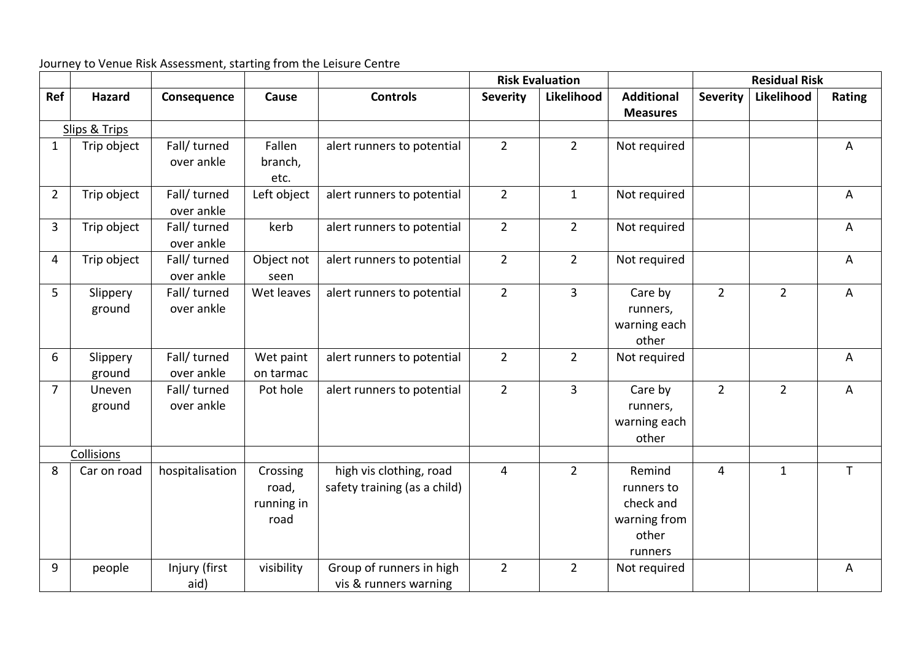Journey to Venue Risk Assessment, starting from the Leisure Centre

|                |                    |                            |                                         |                                                         | <b>Risk Evaluation</b> |                |                                                                       | <b>Residual Risk</b> |                |                |  |  |  |
|----------------|--------------------|----------------------------|-----------------------------------------|---------------------------------------------------------|------------------------|----------------|-----------------------------------------------------------------------|----------------------|----------------|----------------|--|--|--|
| Ref            | <b>Hazard</b>      | Consequence                | Cause                                   | <b>Controls</b>                                         | <b>Severity</b>        | Likelihood     | <b>Additional</b><br><b>Measures</b>                                  | <b>Severity</b>      | Likelihood     | Rating         |  |  |  |
| Slips & Trips  |                    |                            |                                         |                                                         |                        |                |                                                                       |                      |                |                |  |  |  |
| $\mathbf{1}$   | Trip object        | Fall/ turned<br>over ankle | Fallen<br>branch,<br>etc.               | alert runners to potential                              | $\overline{2}$         | $\overline{2}$ | Not required                                                          |                      |                | $\overline{A}$ |  |  |  |
| $\overline{2}$ | Trip object        | Fall/ turned<br>over ankle | Left object                             | alert runners to potential                              | $\overline{2}$         | $\mathbf{1}$   | Not required                                                          |                      |                | A              |  |  |  |
| 3              | Trip object        | Fall/ turned<br>over ankle | kerb                                    | alert runners to potential                              | $\overline{2}$         | $\overline{2}$ | Not required                                                          |                      |                | A              |  |  |  |
| 4              | Trip object        | Fall/ turned<br>over ankle | Object not<br>seen                      | alert runners to potential                              | $\overline{2}$         | $\overline{2}$ | Not required                                                          |                      |                | A              |  |  |  |
| 5              | Slippery<br>ground | Fall/ turned<br>over ankle | Wet leaves                              | alert runners to potential                              | $\overline{2}$         | 3              | Care by<br>runners,<br>warning each<br>other                          | $\overline{2}$       | $\overline{2}$ | A              |  |  |  |
| 6              | Slippery<br>ground | Fall/ turned<br>over ankle | Wet paint<br>on tarmac                  | alert runners to potential                              | $\overline{2}$         | $\overline{2}$ | Not required                                                          |                      |                | A              |  |  |  |
| $\overline{7}$ | Uneven<br>ground   | Fall/ turned<br>over ankle | Pot hole                                | alert runners to potential                              | $2^{1}$                | 3              | Care by<br>runners,<br>warning each<br>other                          | $\overline{2}$       | $\overline{2}$ | A              |  |  |  |
| Collisions     |                    |                            |                                         |                                                         |                        |                |                                                                       |                      |                |                |  |  |  |
| 8              | Car on road        | hospitalisation            | Crossing<br>road,<br>running in<br>road | high vis clothing, road<br>safety training (as a child) | 4                      | $\overline{2}$ | Remind<br>runners to<br>check and<br>warning from<br>other<br>runners | 4                    | $\mathbf{1}$   | $\mathsf{T}$   |  |  |  |
| 9              | people             | Injury (first<br>aid)      | visibility                              | Group of runners in high<br>vis & runners warning       | $\overline{2}$         | $\overline{2}$ | Not required                                                          |                      |                | $\mathsf{A}$   |  |  |  |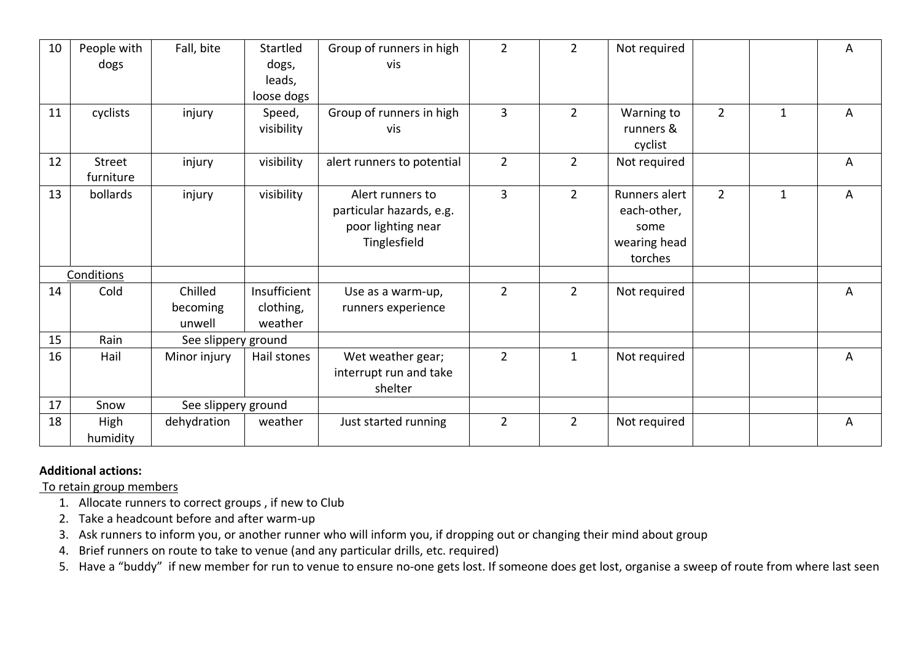| 10 | People with   | Fall, bite          | Startled     | Group of runners in high   | $\overline{2}$ | $\overline{2}$ | Not required  |                |              | A |
|----|---------------|---------------------|--------------|----------------------------|----------------|----------------|---------------|----------------|--------------|---|
|    | dogs          |                     | dogs,        | vis                        |                |                |               |                |              |   |
|    |               |                     | leads,       |                            |                |                |               |                |              |   |
|    |               |                     | loose dogs   |                            |                |                |               |                |              |   |
| 11 | cyclists      | injury              | Speed,       | Group of runners in high   | 3              | $\overline{2}$ | Warning to    | $\overline{2}$ | $\mathbf{1}$ | A |
|    |               |                     | visibility   | vis                        |                |                | runners &     |                |              |   |
|    |               |                     |              |                            |                |                | cyclist       |                |              |   |
| 12 | <b>Street</b> | injury              | visibility   | alert runners to potential | $\overline{2}$ | $\overline{2}$ | Not required  |                |              | A |
|    | furniture     |                     |              |                            |                |                |               |                |              |   |
| 13 | bollards      | injury              | visibility   | Alert runners to           | $\overline{3}$ | $\overline{2}$ | Runners alert | $\overline{2}$ | $\mathbf{1}$ | A |
|    |               |                     |              | particular hazards, e.g.   |                |                | each-other,   |                |              |   |
|    |               |                     |              | poor lighting near         |                |                | some          |                |              |   |
|    |               |                     |              | Tinglesfield               |                |                | wearing head  |                |              |   |
|    |               |                     |              |                            |                |                | torches       |                |              |   |
|    | Conditions    |                     |              |                            |                |                |               |                |              |   |
| 14 | Cold          | Chilled             | Insufficient | Use as a warm-up,          | $\overline{2}$ | $\overline{2}$ | Not required  |                |              | A |
|    |               | becoming            | clothing,    | runners experience         |                |                |               |                |              |   |
|    |               | unwell              | weather      |                            |                |                |               |                |              |   |
| 15 | Rain          | See slippery ground |              |                            |                |                |               |                |              |   |
| 16 | Hail          | Minor injury        | Hail stones  | Wet weather gear;          | $\overline{2}$ | $\mathbf{1}$   | Not required  |                |              | A |
|    |               |                     |              | interrupt run and take     |                |                |               |                |              |   |
|    |               |                     |              | shelter                    |                |                |               |                |              |   |
| 17 | Snow          | See slippery ground |              |                            |                |                |               |                |              |   |
| 18 | High          | dehydration         | weather      | Just started running       | $\overline{2}$ | $\overline{2}$ | Not required  |                |              | A |
|    | humidity      |                     |              |                            |                |                |               |                |              |   |

## **Additional actions:**

To retain group members

- 1. Allocate runners to correct groups , if new to Club
- 2. Take a headcount before and after warm-up
- 3. Ask runners to inform you, or another runner who will inform you, if dropping out or changing their mind about group
- 4. Brief runners on route to take to venue (and any particular drills, etc. required)

5. Have a "buddy" if new member for run to venue to ensure no-one gets lost. If someone does get lost, organise a sweep of route from where last seen